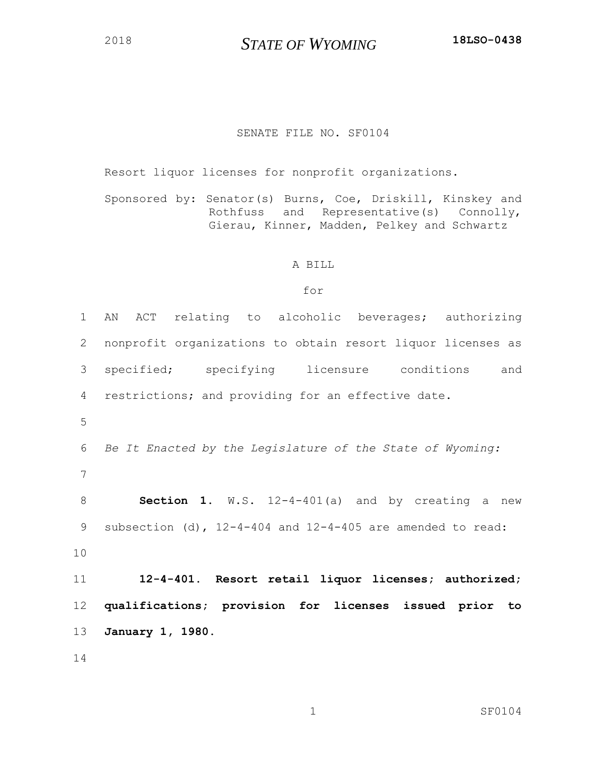*STATE OF WYOMING* **18LSO-0438**

## SENATE FILE NO. SF0104

Resort liquor licenses for nonprofit organizations.

Sponsored by: Senator(s) Burns, Coe, Driskill, Kinskey and Rothfuss and Representative(s) Connolly, Gierau, Kinner, Madden, Pelkey and Schwartz

## A BILL

## for

 AN ACT relating to alcoholic beverages; authorizing nonprofit organizations to obtain resort liquor licenses as specified; specifying licensure conditions and restrictions; and providing for an effective date. *Be It Enacted by the Legislature of the State of Wyoming:* **Section 1**. W.S. 12-4-401(a) and by creating a new subsection (d), 12-4-404 and 12-4-405 are amended to read: **12-4-401. Resort retail liquor licenses; authorized; qualifications; provision for licenses issued prior to January 1, 1980.**

1 SF0104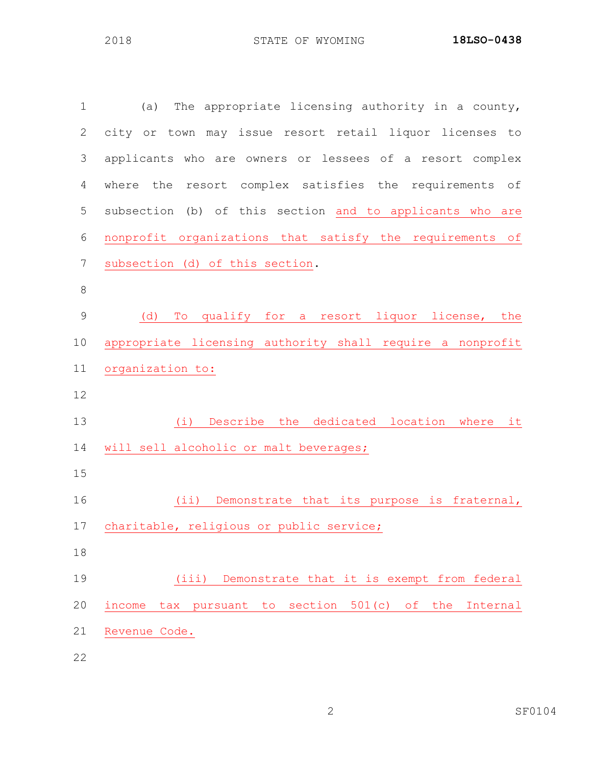| $\mathbf 1$    | (a) The appropriate licensing authority in a county,                   |
|----------------|------------------------------------------------------------------------|
| $\mathbf{2}$   | city or town may issue resort retail liquor licenses to                |
| 3              | applicants who are owners or lessees of a resort complex               |
| 4              | where the resort complex satisfies the requirements of                 |
| 5              | subsection (b) of this section and to applicants who are               |
| 6              | nonprofit organizations that satisfy the requirements of               |
| $\overline{7}$ | subsection (d) of this section.                                        |
| $\,8\,$        |                                                                        |
| $\mathsf 9$    | (d)<br>To qualify for a resort liquor license, the                     |
| 10             | appropriate licensing authority shall require a nonprofit              |
| 11             | organization to:                                                       |
| 12             |                                                                        |
| 13             | (i) Describe the dedicated location where it                           |
| 14             | will sell alcoholic or malt beverages;                                 |
| 15             |                                                                        |
| 16             | (ii) Demonstrate that its purpose is fraternal,                        |
| 17             | charitable, religious or public service;                               |
| 18             |                                                                        |
| 19             | Demonstrate that it is exempt from federal<br>(iii)                    |
| 20             | section $501(c)$ of<br>income<br>tax pursuant<br>the<br>Internal<br>to |
| 21             | Revenue Code.                                                          |

SF0104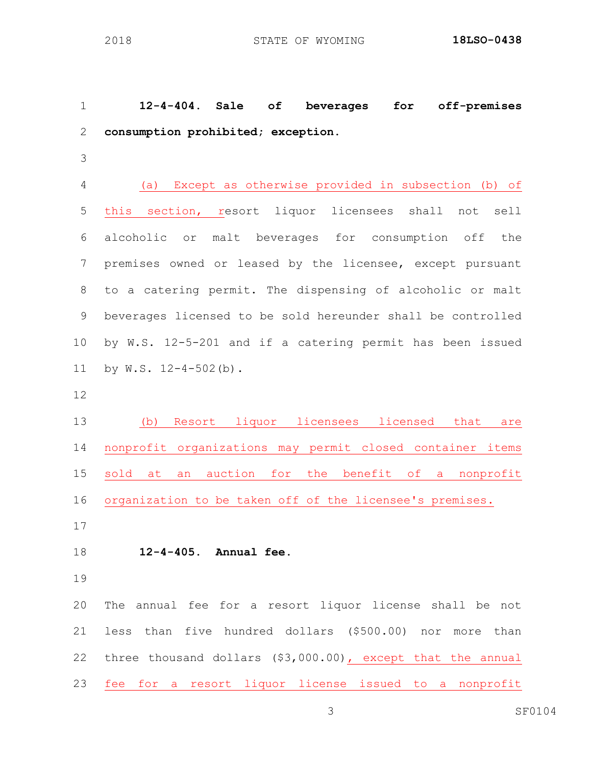**12-4-404. Sale of beverages for off-premises consumption prohibited; exception.**

 (a) Except as otherwise provided in subsection (b) of this section, resort liquor licensees shall not sell alcoholic or malt beverages for consumption off the premises owned or leased by the licensee, except pursuant to a catering permit. The dispensing of alcoholic or malt beverages licensed to be sold hereunder shall be controlled by W.S. 12-5-201 and if a catering permit has been issued by W.S. 12-4-502(b).

 (b) Resort liquor licensees licensed that are nonprofit organizations may permit closed container items sold at an auction for the benefit of a nonprofit organization to be taken off of the licensee's premises.

## **12-4-405. Annual fee.**

 The annual fee for a resort liquor license shall be not less than five hundred dollars (\$500.00) nor more than three thousand dollars (\$3,000.00), except that the annual fee for a resort liquor license issued to a nonprofit